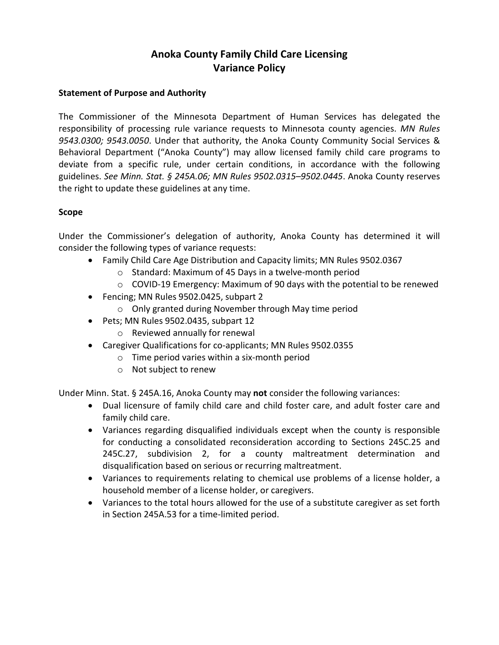# **Anoka County Family Child Care Licensing Variance Policy**

#### **Statement of Purpose and Authority**

The Commissioner of the Minnesota Department of Human Services has delegated the responsibility of processing rule variance requests to Minnesota county agencies. *MN Rules 9543.0300; 9543.0050*. Under that authority, the Anoka County Community Social Services & Behavioral Department ("Anoka County") may allow licensed family child care programs to deviate from a specific rule, under certain conditions, in accordance with the following guidelines. *See Minn. Stat. § 245A.06; MN Rules 9502.0315–9502.0445*. Anoka County reserves the right to update these guidelines at any time.

#### **Scope**

Under the Commissioner's delegation of authority, Anoka County has determined it will consider the following types of variance requests:

- Family Child Care Age Distribution and Capacity limits; MN Rules 9502.0367
	- o Standard: Maximum of 45 Days in a twelve-month period
	- o COVID-19 Emergency: Maximum of 90 days with the potential to be renewed
- Fencing; MN Rules 9502.0425, subpart 2
	- o Only granted during November through May time period
- Pets; MN Rules 9502.0435, subpart 12 o Reviewed annually for renewal
- Caregiver Qualifications for co-applicants; MN Rules 9502.0355
	- o Time period varies within a six-month period
	- o Not subject to renew

Under Minn. Stat. § 245A.16, Anoka County may **not** consider the following variances:

- Dual licensure of family child care and child foster care, and adult foster care and family child care.
- Variances regarding disqualified individuals except when the county is responsible for conducting a consolidated reconsideration according to Sections 245C.25 and 245C.27, subdivision 2, for a county maltreatment determination and disqualification based on serious or recurring maltreatment.
- Variances to requirements relating to chemical use problems of a license holder, a household member of a license holder, or caregivers.
- Variances to the total hours allowed for the use of a substitute caregiver as set forth in Section 245A.53 for a time-limited period.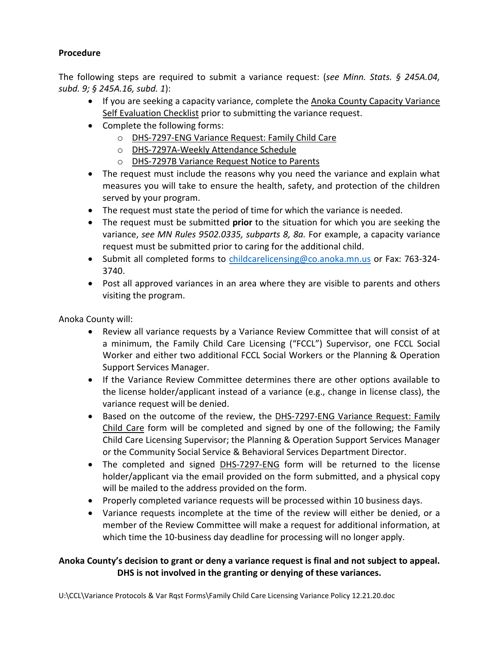### **Procedure**

The following steps are required to submit a variance request: (*see Minn. Stats. § 245A.04, subd. 9; § 245A.16, subd. 1*):

- If you are seeking a capacity variance, complete the Anoka County Capacity Variance Self Evaluation Checklist prior to submitting the variance request.
- Complete the following forms:
	- o DHS-7297-ENG Variance Request: Family Child Care
	- o DHS-7297A-Weekly Attendance Schedule
	- o DHS-7297B Variance Request Notice to Parents
- The request must include the reasons why you need the variance and explain what measures you will take to ensure the health, safety, and protection of the children served by your program.
- The request must state the period of time for which the variance is needed.
- The request must be submitted **prior** to the situation for which you are seeking the variance, *see MN Rules 9502.0335, subparts 8, 8a.* For example, a capacity variance request must be submitted prior to caring for the additional child.
- Submit all completed forms to [childcarelicensing@co.anoka.mn.us](mailto:childcarelicensing@co.anoka.mn.us) or Fax: 763-324-3740.
- Post all approved variances in an area where they are visible to parents and others visiting the program.

Anoka County will:

- Review all variance requests by a Variance Review Committee that will consist of at a minimum, the Family Child Care Licensing ("FCCL") Supervisor, one FCCL Social Worker and either two additional FCCL Social Workers or the Planning & Operation Support Services Manager.
- If the Variance Review Committee determines there are other options available to the license holder/applicant instead of a variance (e.g., change in license class), the variance request will be denied.
- Based on the outcome of the review, the DHS-7297-ENG Variance Request: Family Child Care form will be completed and signed by one of the following; the Family Child Care Licensing Supervisor; the Planning & Operation Support Services Manager or the Community Social Service & Behavioral Services Department Director.
- The completed and signed DHS-7297-ENG form will be returned to the license holder/applicant via the email provided on the form submitted, and a physical copy will be mailed to the address provided on the form.
- Properly completed variance requests will be processed within 10 business days.
- Variance requests incomplete at the time of the review will either be denied, or a member of the Review Committee will make a request for additional information, at which time the 10-business day deadline for processing will no longer apply.

### **Anoka County's decision to grant or deny a variance request is final and not subject to appeal. DHS is not involved in the granting or denying of these variances.**